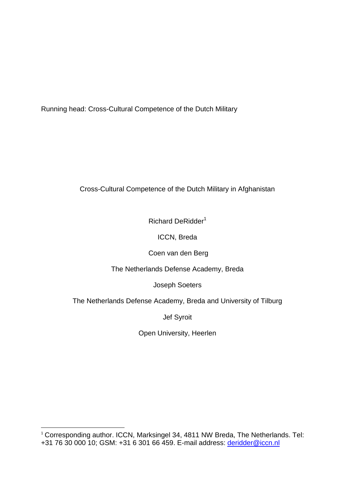Running head: Cross-Cultural Competence of the Dutch Military

# Cross-Cultural Competence of the Dutch Military in Afghanistan

Richard DeRidder<sup>1</sup>

ICCN, Breda

Coen van den Berg

The Netherlands Defense Academy, Breda

Joseph Soeters

The Netherlands Defense Academy, Breda and University of Tilburg

Jef Syroit

Open University, Heerlen

 $\overline{a}$ <sup>1</sup> Corresponding author. ICCN, Marksingel 34, 4811 NW Breda, The Netherlands. Tel: +31 76 30 000 10; GSM: +31 6 301 66 459. E-mail address: [deridder@iccn.nl](mailto:deridder@iccn.nl)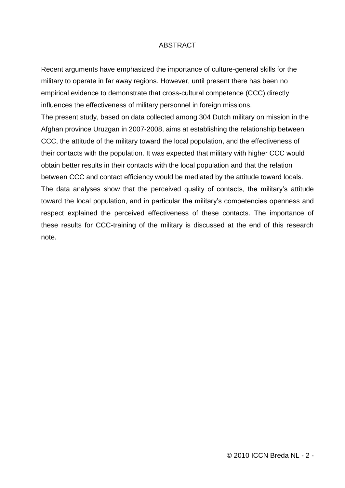# ABSTRACT

Recent arguments have emphasized the importance of culture-general skills for the military to operate in far away regions. However, until present there has been no empirical evidence to demonstrate that cross-cultural competence (CCC) directly influences the effectiveness of military personnel in foreign missions.

The present study, based on data collected among 304 Dutch military on mission in the Afghan province Uruzgan in 2007-2008, aims at establishing the relationship between CCC, the attitude of the military toward the local population, and the effectiveness of their contacts with the population. It was expected that military with higher CCC would obtain better results in their contacts with the local population and that the relation between CCC and contact efficiency would be mediated by the attitude toward locals. The data analyses show that the perceived quality of contacts, the military"s attitude toward the local population, and in particular the military"s competencies openness and respect explained the perceived effectiveness of these contacts. The importance of these results for CCC-training of the military is discussed at the end of this research note.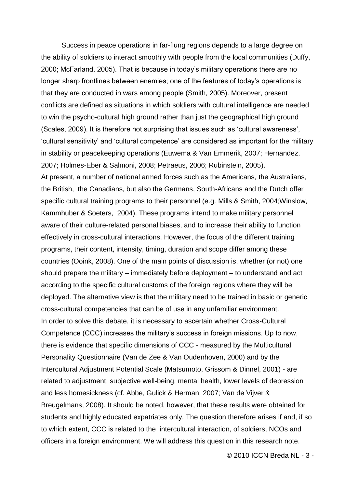Success in peace operations in far-flung regions depends to a large degree on the ability of soldiers to interact smoothly with people from the local communities (Duffy, 2000; McFarland, 2005). That is because in today"s military operations there are no longer sharp frontlines between enemies; one of the features of today"s operations is that they are conducted in wars among people (Smith, 2005). Moreover, present conflicts are defined as situations in which soldiers with cultural intelligence are needed to win the psycho-cultural high ground rather than just the geographical high ground (Scales, 2009). It is therefore not surprising that issues such as "cultural awareness", "cultural sensitivity" and "cultural competence" are considered as important for the military in stability or peacekeeping operations (Euwema & Van Emmerik, 2007; Hernandez, 2007; Holmes-Eber & Salmoni, 2008; Petraeus, 2006; Rubinstein, 2005). At present, a number of national armed forces such as the Americans, the Australians, the British, the Canadians, but also the Germans, South-Africans and the Dutch offer specific cultural training programs to their personnel (e.g. Mills & Smith, 2004;Winslow, Kammhuber & Soeters, 2004). These programs intend to make military personnel aware of their culture-related personal biases, and to increase their ability to function effectively in cross-cultural interactions. However, the focus of the different training programs, their content, intensity, timing, duration and scope differ among these countries (Ooink, 2008). One of the main points of discussion is, whether (or not) one should prepare the military – immediately before deployment – to understand and act according to the specific cultural customs of the foreign regions where they will be deployed. The alternative view is that the military need to be trained in basic or generic cross-cultural competencies that can be of use in any unfamiliar environment. In order to solve this debate, it is necessary to ascertain whether Cross-Cultural Competence (CCC) increases the military"s success in foreign missions. Up to now, there is evidence that specific dimensions of CCC - measured by the Multicultural Personality Questionnaire (Van de Zee & Van Oudenhoven, 2000) and by the Intercultural Adjustment Potential Scale (Matsumoto, Grissom & Dinnel, 2001) - are related to adjustment, subjective well-being, mental health, lower levels of depression and less homesickness (cf. Abbe, Gulick & Herman, 2007; Van de Vijver & Breugelmans, 2008). It should be noted, however, that these results were obtained for students and highly educated expatriates only. The question therefore arises if and, if so to which extent, CCC is related to the intercultural interaction, of soldiers, NCOs and officers in a foreign environment. We will address this question in this research note.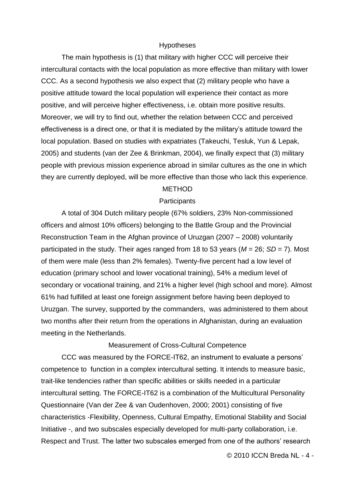#### Hypotheses

The main hypothesis is (1) that military with higher CCC will perceive their intercultural contacts with the local population as more effective than military with lower CCC. As a second hypothesis we also expect that (2) military people who have a positive attitude toward the local population will experience their contact as more positive, and will perceive higher effectiveness, i.e. obtain more positive results. Moreover, we will try to find out, whether the relation between CCC and perceived effectiveness is a direct one, or that it is mediated by the military"s attitude toward the local population. Based on studies with expatriates (Takeuchi, Tesluk, Yun & Lepak, 2005) and students (van der Zee & Brinkman, 2004), we finally expect that (3) military people with previous mission experience abroad in similar cultures as the one in which they are currently deployed, will be more effective than those who lack this experience.

#### METHOD

#### **Participants**

A total of 304 Dutch military people (67% soldiers, 23% Non-commissioned officers and almost 10% officers) belonging to the Battle Group and the Provincial Reconstruction Team in the Afghan province of Uruzgan (2007 – 2008) voluntarily participated in the study. Their ages ranged from 18 to 53 years (*M* = 26; *SD* = 7). Most of them were male (less than 2% females). Twenty-five percent had a low level of education (primary school and lower vocational training), 54% a medium level of secondary or vocational training, and 21% a higher level (high school and more). Almost 61% had fulfilled at least one foreign assignment before having been deployed to Uruzgan. The survey, supported by the commanders, was administered to them about two months after their return from the operations in Afghanistan, during an evaluation meeting in the Netherlands.

### Measurement of Cross-Cultural Competence

CCC was measured by the FORCE-IT62, an instrument to evaluate a persons" competence to function in a complex intercultural setting. It intends to measure basic, trait-like tendencies rather than specific abilities or skills needed in a particular intercultural setting. The FORCE-IT62 is a combination of the Multicultural Personality Questionnaire (Van der Zee & van Oudenhoven, 2000; 2001) consisting of five characteristics -Flexibility, Openness, Cultural Empathy, Emotional Stability and Social Initiative -, and two subscales especially developed for multi-party collaboration, i.e. Respect and Trust. The latter two subscales emerged from one of the authors' research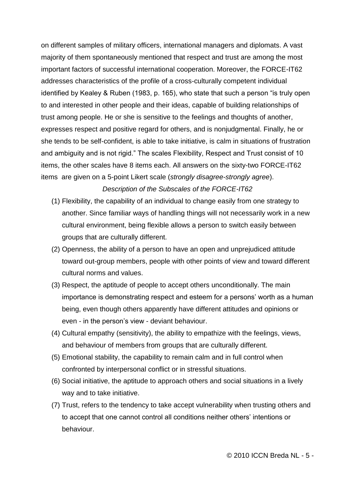on different samples of military officers, international managers and diplomats. A vast majority of them spontaneously mentioned that respect and trust are among the most important factors of successful international cooperation. Moreover, the FORCE-IT62 addresses characteristics of the profile of a cross-culturally competent individual identified by Kealey & Ruben (1983, p. 165), who state that such a person "is truly open to and interested in other people and their ideas, capable of building relationships of trust among people. He or she is sensitive to the feelings and thoughts of another, expresses respect and positive regard for others, and is nonjudgmental. Finally, he or she tends to be self-confident, is able to take initiative, is calm in situations of frustration and ambiguity and is not rigid." The scales Flexibility, Respect and Trust consist of 10 items, the other scales have 8 items each. All answers on the sixty-two FORCE-IT62 items are given on a 5-point Likert scale (*strongly disagree-strongly agree*).

# *Description of the Subscales of the FORCE-IT62*

- (1) Flexibility, the capability of an individual to change easily from one strategy to another. Since familiar ways of handling things will not necessarily work in a new cultural environment, being flexible allows a person to switch easily between groups that are culturally different.
- (2) Openness, the ability of a person to have an open and unprejudiced attitude toward out-group members, people with other points of view and toward different cultural norms and values.
- (3) Respect, the aptitude of people to accept others unconditionally. The main importance is demonstrating respect and esteem for a persons" worth as a human being, even though others apparently have different attitudes and opinions or even - in the person"s view - deviant behaviour.
- (4) Cultural empathy (sensitivity), the ability to empathize with the feelings, views, and behaviour of members from groups that are culturally different.
- (5) Emotional stability, the capability to remain calm and in full control when confronted by interpersonal conflict or in stressful situations.
- (6) Social initiative, the aptitude to approach others and social situations in a lively way and to take initiative.
- (7) Trust, refers to the tendency to take accept vulnerability when trusting others and to accept that one cannot control all conditions neither others" intentions or behaviour.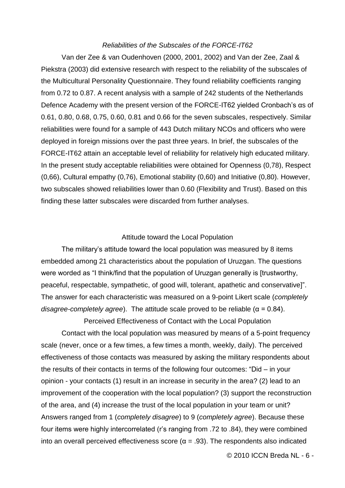### *Reliabilities of the Subscales of the FORCE-IT62*

Van der Zee & van Oudenhoven (2000, 2001, 2002) and Van der Zee, Zaal & Piekstra (2003) did extensive research with respect to the reliability of the subscales of the Multicultural Personality Questionnaire. They found reliability coefficients ranging from 0.72 to 0.87. A recent analysis with a sample of 242 students of the Netherlands Defence Academy with the present version of the FORCE-IT62 yielded Cronbach"s αs of 0.61, 0.80, 0.68, 0.75, 0.60, 0.81 and 0.66 for the seven subscales, respectively. Similar reliabilities were found for a sample of 443 Dutch military NCOs and officers who were deployed in foreign missions over the past three years. In brief, the subscales of the FORCE-IT62 attain an acceptable level of reliability for relatively high educated military. In the present study acceptable reliabilities were obtained for Openness (0,78), Respect (0,66), Cultural empathy (0,76), Emotional stability (0,60) and Initiative (0,80). However, two subscales showed reliabilities lower than 0.60 (Flexibility and Trust). Based on this finding these latter subscales were discarded from further analyses.

#### Attitude toward the Local Population

The military's attitude toward the local population was measured by 8 items embedded among 21 characteristics about the population of Uruzgan. The questions were worded as "I think/find that the population of Uruzgan generally is [trustworthy, peaceful, respectable, sympathetic, of good will, tolerant, apathetic and conservative]". The answer for each characteristic was measured on a 9-point Likert scale (*completely disagree-completely agree*). The attitude scale proved to be reliable (α = 0.84).

Perceived Effectiveness of Contact with the Local Population Contact with the local population was measured by means of a 5-point frequency scale (never, once or a few times, a few times a month, weekly, daily). The perceived effectiveness of those contacts was measured by asking the military respondents about the results of their contacts in terms of the following four outcomes: "Did – in your opinion - your contacts (1) result in an increase in security in the area? (2) lead to an improvement of the cooperation with the local population? (3) support the reconstruction of the area, and (4) increase the trust of the local population in your team or unit? Answers ranged from 1 (*completely disagree*) to 9 (*completely agree*). Because these four items were highly intercorrelated (r"s ranging from .72 to .84), they were combined into an overall perceived effectiveness score ( $\alpha$  = .93). The respondents also indicated

© 2010 ICCN Breda NL - 6 -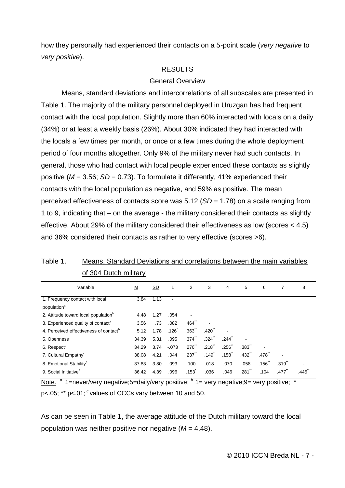how they personally had experienced their contacts on a 5-point scale (*very negative* to *very positive*).

# RESULTS

# General Overview

Means, standard deviations and intercorrelations of all subscales are presented in Table 1. The majority of the military personnel deployed in Uruzgan has had frequent contact with the local population. Slightly more than 60% interacted with locals on a daily (34%) or at least a weekly basis (26%). About 30% indicated they had interacted with the locals a few times per month, or once or a few times during the whole deployment period of four months altogether. Only 9% of the military never had such contacts. In general, those who had contact with local people experienced these contacts as slightly positive (*M* = 3.56; *SD* = 0.73). To formulate it differently, 41% experienced their contacts with the local population as negative, and 59% as positive. The mean perceived effectiveness of contacts score was 5.12 (*SD* = 1.78) on a scale ranging from 1 to 9, indicating that – on the average - the military considered their contacts as slightly effective. About 29% of the military considered their effectiveness as low (scores < 4.5) and 36% considered their contacts as rather to very effective (scores >6).

| Variable                                           | <u>M</u> | SD   | 1       | $\overline{2}$       | 3                    | 4                    | 5                    | 6    | 7    | 8    |
|----------------------------------------------------|----------|------|---------|----------------------|----------------------|----------------------|----------------------|------|------|------|
| 1. Frequency contact with local                    | 3.84     | 1.13 |         |                      |                      |                      |                      |      |      |      |
| population <sup>a</sup>                            |          |      |         |                      |                      |                      |                      |      |      |      |
| 2. Attitude toward local population <sup>b</sup>   | 4.48     | 1.27 | .054    |                      |                      |                      |                      |      |      |      |
| 3. Experienced quality of contact <sup>a</sup>     | 3.56     | .73  | .082    | $.464$ <sup>-1</sup> |                      |                      |                      |      |      |      |
| 4. Perceived effectiveness of contact <sup>b</sup> | 5.12     | 1.78 | .126    | $.363$ <sup>"</sup>  | $.420$ <sup>**</sup> |                      |                      |      |      |      |
| 5. Openness <sup>c</sup>                           | 34.39    | 5.31 | .095    | .374 <sup>1</sup>    | $.324$ <sup>**</sup> | .244                 |                      |      |      |      |
| 6. Respect <sup>c</sup>                            | 34.29    | 3.74 | $-.073$ | $.276$ *             | $.218$ **            | .256"                | .383"                |      |      |      |
| 7. Cultural Empathy <sup>c</sup>                   | 38.08    | 4.21 | .044    | .237                 | $.149$ <sup>*</sup>  | $.158$ <sup>**</sup> | $.432$ <sup>**</sup> | .478 |      |      |
| 8. Emotional Stability <sup>c</sup>                | 37.83    | 3.80 | .093    | .100                 | .018                 | .070                 | .058                 | .156 | .319 |      |
| 9. Social Initiative <sup>c</sup>                  | 36.42    | 4.39 | .096    | .153                 | .036                 | .046                 | .281                 | .104 | .477 | .445 |

Table 1. Means, Standard Deviations and correlations between the main variables of 304 Dutch military

Note.  $a$  1=never/very negative; 5=daily/very positive;  $b$  1= very negative; 9= very positive;  $\ast$ p<.05;  $**$  p<.01;  $\textdegree$  values of CCCs vary between 10 and 50.

As can be seen in Table 1, the average attitude of the Dutch military toward the local population was neither positive nor negative (*M* = 4.48).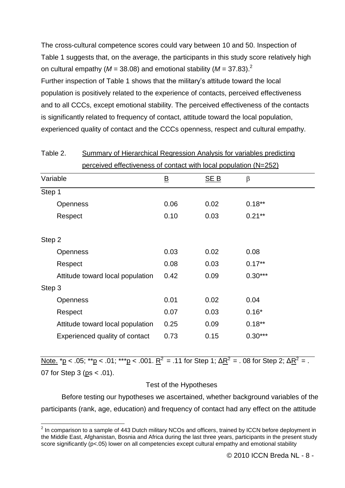The cross-cultural competence scores could vary between 10 and 50. Inspection of Table 1 suggests that, on the average, the participants in this study score relatively high on cultural empathy ( $M = 38.08$ ) and emotional stability ( $M = 37.83$ ).<sup>2</sup> Further inspection of Table 1 shows that the military"s attitude toward the local population is positively related to the experience of contacts, perceived effectiveness and to all CCCs, except emotional stability. The perceived effectiveness of the contacts is significantly related to frequency of contact, attitude toward the local population, experienced quality of contact and the CCCs openness, respect and cultural empathy.

| <u>perceived effectiveness of contact with local population (N=252)</u> |                  |      |           |  |  |  |  |  |
|-------------------------------------------------------------------------|------------------|------|-----------|--|--|--|--|--|
| Variable                                                                | <u>B</u><br>SE B |      | $\beta$   |  |  |  |  |  |
| Step 1                                                                  |                  |      |           |  |  |  |  |  |
| <b>Openness</b>                                                         | 0.06             | 0.02 | $0.18**$  |  |  |  |  |  |
| Respect                                                                 | 0.10             | 0.03 | $0.21***$ |  |  |  |  |  |
| Step 2                                                                  |                  |      |           |  |  |  |  |  |
| <b>Openness</b>                                                         | 0.03             | 0.02 | 0.08      |  |  |  |  |  |
| Respect                                                                 | 0.08             | 0.03 | $0.17**$  |  |  |  |  |  |
| Attitude toward local population                                        | 0.42             | 0.09 | $0.30***$ |  |  |  |  |  |
| Step 3                                                                  |                  |      |           |  |  |  |  |  |
| <b>Openness</b>                                                         | 0.01             | 0.02 | 0.04      |  |  |  |  |  |
| Respect                                                                 | 0.07             | 0.03 | $0.16*$   |  |  |  |  |  |
| Attitude toward local population                                        | 0.25             | 0.09 | $0.18**$  |  |  |  |  |  |
| Experienced quality of contact                                          | 0.73             | 0.15 | $0.30***$ |  |  |  |  |  |

Table 2. Summary of Hierarchical Regression Analysis for variables predicting

<u>Note. \*p</u> < .05; \*\*<u>p</u> < .01; \*\*\*<u>p</u> < .001. <u>R<sup>2</sup></u> = .11 for Step 1; Δ<u>R<sup>2</sup> = . 08 for Step 2; ΔR<sup>2</sup> = .</u> 07 for Step 3 (ps < .01).

### Test of the Hypotheses

Before testing our hypotheses we ascertained, whether background variables of the participants (rank, age, education) and frequency of contact had any effect on the attitude

<sup>&</sup>lt;u>2</u><br>The comparison to a sample of 443 Dutch military NCOs and officers, trained by ICCN before deployment in a the Middle East, Afghanistan, Bosnia and Africa during the last three years, participants in the present study score significantly (p<.05) lower on all competencies except cultural empathy and emotional stability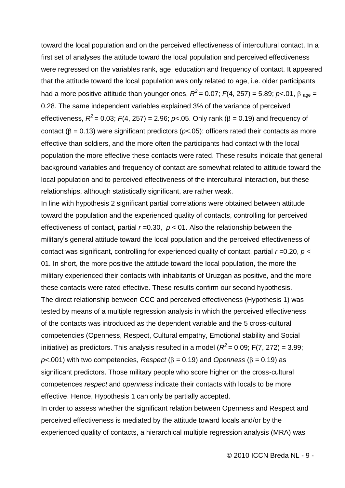toward the local population and on the perceived effectiveness of intercultural contact. In a first set of analyses the attitude toward the local population and perceived effectiveness were regressed on the variables rank, age, education and frequency of contact. It appeared that the attitude toward the local population was only related to age, i.e. older participants had a more positive attitude than younger ones,  $R^2$  = 0.07;  $F(4, 257)$  = 5.89;  $p$ <.01,  $\beta$  <sub>age</sub> = 0.28. The same independent variables explained 3% of the variance of perceived effectiveness,  $R^2$  = 0.03;  $F(4, 257)$  = 2.96;  $p$ <.05. Only rank ( $\beta$  = 0.19) and frequency of contact ( $\beta$  = 0.13) were significant predictors ( $p$ < 05): officers rated their contacts as more effective than soldiers, and the more often the participants had contact with the local population the more effective these contacts were rated. These results indicate that general background variables and frequency of contact are somewhat related to attitude toward the local population and to perceived effectiveness of the intercultural interaction, but these relationships, although statistically significant, are rather weak.

In line with hypothesis 2 significant partial correlations were obtained between attitude toward the population and the experienced quality of contacts, controlling for perceived effectiveness of contact, partial  $r = 0.30$ ,  $p < 01$ . Also the relationship between the military"s general attitude toward the local population and the perceived effectiveness of contact was significant, controlling for experienced quality of contact, partial *r* =0.20, *p* < 01. In short, the more positive the attitude toward the local population, the more the military experienced their contacts with inhabitants of Uruzgan as positive, and the more these contacts were rated effective. These results confirm our second hypothesis. The direct relationship between CCC and perceived effectiveness (Hypothesis 1) was tested by means of a multiple regression analysis in which the perceived effectiveness of the contacts was introduced as the dependent variable and the 5 cross-cultural competencies (Openness, Respect, Cultural empathy, Emotional stability and Social initiative) as predictors. This analysis resulted in a model ( $R^2$  = 0.09; F(7, 272) = 3.99;  $p$ <.001) with two competencies, *Respect* ( $\beta$  = 0.19) and *Openness* ( $\beta$  = 0.19) as significant predictors. Those military people who score higher on the cross-cultural competences *respect* and *openness* indicate their contacts with locals to be more effective. Hence, Hypothesis 1 can only be partially accepted. In order to assess whether the significant relation between Openness and Respect and perceived effectiveness is mediated by the attitude toward locals and/or by the

experienced quality of contacts, a hierarchical multiple regression analysis (MRA) was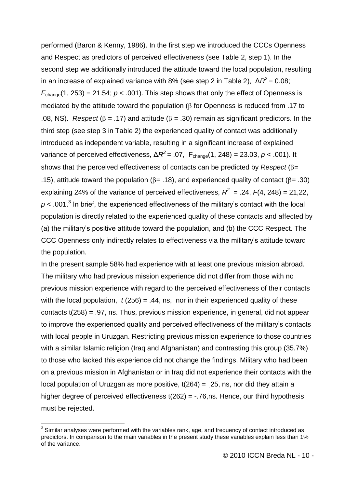performed (Baron & Kenny, 1986). In the first step we introduced the CCCs Openness and Respect as predictors of perceived effectiveness (see Table 2, step 1). In the second step we additionally introduced the attitude toward the local population, resulting in an increase of explained variance with 8% (see step 2 in Table 2),  $\Delta R^2$  = 0.08;  $F_{\text{change}}(1, 253) = 21.54$ ;  $p < .001$ ). This step shows that only the effect of Openness is mediated by the attitude toward the population ( $\beta$  for Openness is reduced from .17 to .08, NS). *Respect* ( $\beta$  = .17) and attitude ( $\beta$  = .30) remain as significant predictors. In the third step (see step 3 in Table 2) the experienced quality of contact was additionally introduced as independent variable, resulting in a significant increase of explained variance of perceived effectiveness,  $\Delta R^2$  = .07,  $F_{change}(1, 248)$  = 23.03, *p* < .001). It shows that the perceived effectiveness of contacts can be predicted by *Respect* ( $\beta$ = .15), attitude toward the population ( $\beta$ = .18), and experienced quality of contact ( $\beta$ = .30) explaining 24% of the variance of perceived effectiveness,  $R^2 = .24$ ,  $F(4, 248) = 21,22$ ,  $p$  < .001.<sup>3</sup> In brief, the experienced effectiveness of the military's contact with the local population is directly related to the experienced quality of these contacts and affected by (a) the military"s positive attitude toward the population, and (b) the CCC Respect. The CCC Openness only indirectly relates to effectiveness via the military"s attitude toward the population.

In the present sample 58% had experience with at least one previous mission abroad. The military who had previous mission experience did not differ from those with no previous mission experience with regard to the perceived effectiveness of their contacts with the local population,  $t(256) = .44$ , ns, nor in their experienced quality of these contacts t(258) = .97, ns. Thus, previous mission experience, in general, did not appear to improve the experienced quality and perceived effectiveness of the military"s contacts with local people in Uruzgan. Restricting previous mission experience to those countries with a similar Islamic religion (Iraq and Afghanistan) and contrasting this group (35.7%) to those who lacked this experience did not change the findings. Military who had been on a previous mission in Afghanistan or in Iraq did not experience their contacts with the local population of Uruzgan as more positive,  $t(264) = 25$ , ns, nor did they attain a higher degree of perceived effectiveness t(262) = -.76,ns. Hence, our third hypothesis must be rejected.

 $\overline{a}$ 

 $3$  Similar analyses were performed with the variables rank, age, and frequency of contact introduced as predictors. In comparison to the main variables in the present study these variables explain less than 1% of the variance.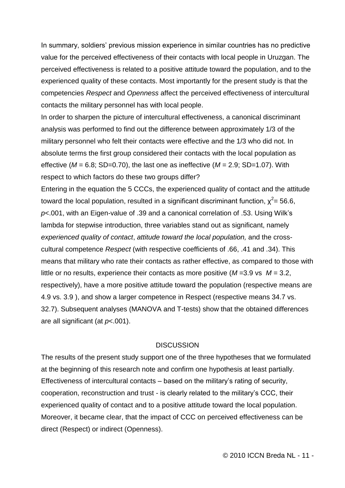In summary, soldiers" previous mission experience in similar countries has no predictive value for the perceived effectiveness of their contacts with local people in Uruzgan. The perceived effectiveness is related to a positive attitude toward the population, and to the experienced quality of these contacts. Most importantly for the present study is that the competencies *Respect* and *Openness* affect the perceived effectiveness of intercultural contacts the military personnel has with local people.

In order to sharpen the picture of intercultural effectiveness, a canonical discriminant analysis was performed to find out the difference between approximately 1/3 of the military personnel who felt their contacts were effective and the 1/3 who did not. In absolute terms the first group considered their contacts with the local population as effective ( $M = 6.8$ ; SD=0.70), the last one as ineffective ( $M = 2.9$ ; SD=1.07). With respect to which factors do these two groups differ?

Entering in the equation the 5 CCCs, the experienced quality of contact and the attitude toward the local population, resulted in a significant discriminant function,  $\chi^2$ = 56.6, *p*<.001, with an Eigen-value of .39 and a canonical correlation of .53. Using Wilk"s lambda for stepwise introduction, three variables stand out as significant, namely *experienced quality of contact*, *attitude toward the local population,* and the crosscultural competence *Respect* (with respective coefficients of .66, .41 and .34). This means that military who rate their contacts as rather effective, as compared to those with little or no results, experience their contacts as more positive (*M* =3.9 vs *M* = 3.2, respectively), have a more positive attitude toward the population (respective means are 4.9 vs. 3.9 ), and show a larger competence in Respect (respective means 34.7 vs. 32.7). Subsequent analyses (MANOVA and T-tests) show that the obtained differences are all significant (at *p*<.001).

### **DISCUSSION**

The results of the present study support one of the three hypotheses that we formulated at the beginning of this research note and confirm one hypothesis at least partially. Effectiveness of intercultural contacts – based on the military"s rating of security, cooperation, reconstruction and trust - is clearly related to the military"s CCC, their experienced quality of contact and to a positive attitude toward the local population. Moreover, it became clear, that the impact of CCC on perceived effectiveness can be direct (Respect) or indirect (Openness).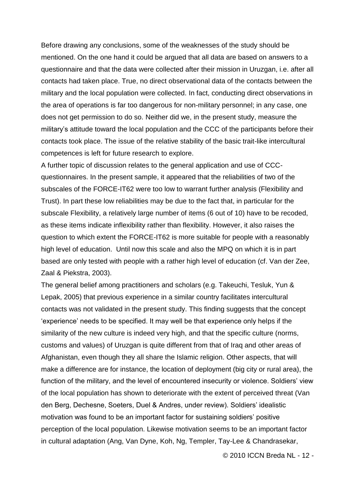Before drawing any conclusions, some of the weaknesses of the study should be mentioned. On the one hand it could be argued that all data are based on answers to a questionnaire and that the data were collected after their mission in Uruzgan, i.e. after all contacts had taken place. True, no direct observational data of the contacts between the military and the local population were collected. In fact, conducting direct observations in the area of operations is far too dangerous for non-military personnel; in any case, one does not get permission to do so. Neither did we, in the present study, measure the military"s attitude toward the local population and the CCC of the participants before their contacts took place. The issue of the relative stability of the basic trait-like intercultural competences is left for future research to explore.

A further topic of discussion relates to the general application and use of CCCquestionnaires. In the present sample, it appeared that the reliabilities of two of the subscales of the FORCE-IT62 were too low to warrant further analysis (Flexibility and Trust). In part these low reliabilities may be due to the fact that, in particular for the subscale Flexibility, a relatively large number of items (6 out of 10) have to be recoded, as these items indicate inflexibility rather than flexibility. However, it also raises the question to which extent the FORCE-IT62 is more suitable for people with a reasonably high level of education. Until now this scale and also the MPQ on which it is in part based are only tested with people with a rather high level of education (cf. Van der Zee, Zaal & Piekstra, 2003).

The general belief among practitioners and scholars (e.g. Takeuchi, Tesluk, Yun & Lepak, 2005) that previous experience in a similar country facilitates intercultural contacts was not validated in the present study. This finding suggests that the concept "experience" needs to be specified. It may well be that experience only helps if the similarity of the new culture is indeed very high, and that the specific culture (norms, customs and values) of Uruzgan is quite different from that of Iraq and other areas of Afghanistan, even though they all share the Islamic religion. Other aspects, that will make a difference are for instance, the location of deployment (big city or rural area), the function of the military, and the level of encountered insecurity or violence. Soldiers' view of the local population has shown to deteriorate with the extent of perceived threat (Van den Berg, Dechesne, Soeters, Duel & Andres, under review). Soldiers" idealistic motivation was found to be an important factor for sustaining soldiers" positive perception of the local population. Likewise motivation seems to be an important factor in cultural adaptation (Ang, Van Dyne, Koh, Ng, Templer, Tay-Lee & Chandrasekar,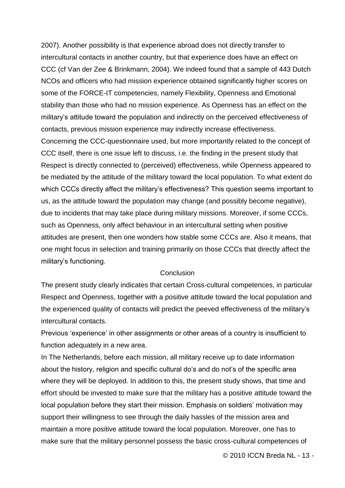2007). Another possibility is that experience abroad does not directly transfer to intercultural contacts in another country, but that experience does have an effect on CCC (cf Van der Zee & Brinkmann, 2004). We indeed found that a sample of 443 Dutch NCOs and officers who had mission experience obtained significantly higher scores on some of the FORCE-IT competencies, namely Flexibility, Openness and Emotional stability than those who had no mission experience. As Openness has an effect on the military"s attitude toward the population and indirectly on the perceived effectiveness of contacts, previous mission experience may indirectly increase effectiveness. Concerning the CCC-questionnaire used, but more importantly related to the concept of CCC itself, there is one issue left to discuss, i.e. the finding in the present study that Respect is directly connected to (perceived) effectiveness, while Openness appeared to be mediated by the attitude of the military toward the local population. To what extent do which CCCs directly affect the military's effectiveness? This question seems important to us, as the attitude toward the population may change (and possibly become negative), due to incidents that may take place during military missions. Moreover, if some CCCs, such as Openness, only affect behaviour in an intercultural setting when positive attitudes are present, then one wonders how stable some CCCs are. Also it means, that one might focus in selection and training primarily on those CCCs that directly affect the military"s functioning.

## Conclusion

The present study clearly indicates that certain Cross-cultural competences, in particular Respect and Openness, together with a positive attitude toward the local population and the experienced quality of contacts will predict the peeved effectiveness of the military"s intercultural contacts.

Previous "experience" in other assignments or other areas of a country is insufficient to function adequately in a new area.

In The Netherlands, before each mission, all military receive up to date information about the history, religion and specific cultural do"s and do not"s of the specific area where they will be deployed. In addition to this, the present study shows, that time and effort should be invested to make sure that the military has a positive attitude toward the local population before they start their mission. Emphasis on soldiers' motivation may support their willingness to see through the daily hassles of the mission area and maintain a more positive attitude toward the local population. Moreover, one has to make sure that the military personnel possess the basic cross-cultural competences of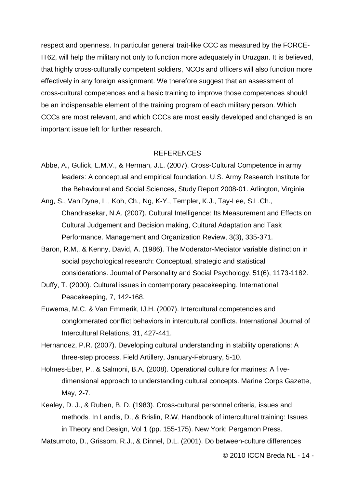respect and openness. In particular general trait-like CCC as measured by the FORCE-IT62, will help the military not only to function more adequately in Uruzgan. It is believed, that highly cross-culturally competent soldiers, NCOs and officers will also function more effectively in any foreign assignment. We therefore suggest that an assessment of cross-cultural competences and a basic training to improve those competences should be an indispensable element of the training program of each military person. Which CCCs are most relevant, and which CCCs are most easily developed and changed is an important issue left for further research.

### REFERENCES

- Abbe, A., Gulick, L.M.V., & Herman, J.L. (2007). Cross-Cultural Competence in army leaders: A conceptual and empirical foundation. U.S. Army Research Institute for the Behavioural and Social Sciences, Study Report 2008-01. Arlington, Virginia
- Ang, S., Van Dyne, L., Koh, Ch., Ng, K-Y., Templer, K.J., Tay-Lee, S.L.Ch., Chandrasekar, N.A. (2007). Cultural Intelligence: Its Measurement and Effects on Cultural Judgement and Decision making, Cultural Adaptation and Task Performance. Management and Organization Review, 3(3), 335-371.
- Baron, R.M,. & Kenny, David, A. (1986). The Moderator-Mediator variable distinction in social psychological research: Conceptual, strategic and statistical considerations. Journal of Personality and Social Psychology, 51(6), 1173-1182.
- Duffy, T. (2000). Cultural issues in contemporary peacekeeping. International Peacekeeping, 7, 142-168.
- Euwema, M.C. & Van Emmerik, IJ.H. (2007). Intercultural competencies and conglomerated conflict behaviors in intercultural conflicts. International Journal of Intercultural Relations, 31, 427-441.
- Hernandez, P.R. (2007). Developing cultural understanding in stability operations: A three-step process. Field Artillery, January-February, 5-10.
- Holmes-Eber, P., & Salmoni, B.A. (2008). Operational culture for marines: A fivedimensional approach to understanding cultural concepts. Marine Corps Gazette, May, 2-7.
- Kealey, D. J., & Ruben, B. D. (1983). Cross-cultural personnel criteria, issues and methods. In Landis, D., & Brislin, R.W, Handbook of intercultural training: Issues in Theory and Design, Vol 1 (pp. 155-175). New York: Pergamon Press.

Matsumoto, D., Grissom, R.J., & Dinnel, D.L. (2001). Do between-culture differences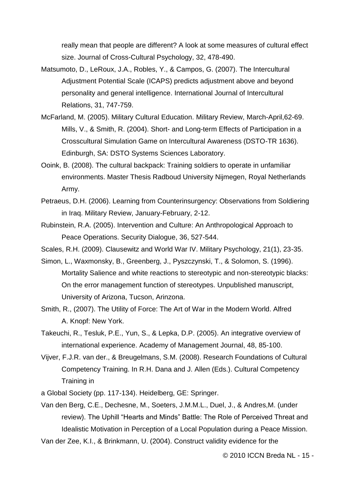really mean that people are different? A look at some measures of cultural effect size. Journal of Cross-Cultural Psychology, 32, 478-490.

- Matsumoto, D., LeRoux, J.A., Robles, Y., & Campos, G. (2007). [The Intercultural](http://www.sciencedirect.com/science?_ob=ArticleURL&_udi=B6V7R-4PVRFSJ-2&_user=8031606&_coverDate=11%2F30%2F2007&_rdoc=1&_fmt=full&_orig=&_cdi=5849&_sort=d&_docanchor=&view=c&_ct=1&_acct=C000050221&_version=1&_urlVersion=0&_userid=8031606&md5=c5c0c970eb2ce76809c44a614dd033a4)  [Adjustment Potential Scale \(ICAPS\) predicts adjustment above and beyond](http://www.sciencedirect.com/science?_ob=ArticleURL&_udi=B6V7R-4PVRFSJ-2&_user=8031606&_coverDate=11%2F30%2F2007&_rdoc=1&_fmt=full&_orig=&_cdi=5849&_sort=d&_docanchor=&view=c&_ct=1&_acct=C000050221&_version=1&_urlVersion=0&_userid=8031606&md5=c5c0c970eb2ce76809c44a614dd033a4)  [personality and general intelligence.](http://www.sciencedirect.com/science?_ob=ArticleURL&_udi=B6V7R-4PVRFSJ-2&_user=8031606&_coverDate=11%2F30%2F2007&_rdoc=1&_fmt=full&_orig=&_cdi=5849&_sort=d&_docanchor=&view=c&_ct=1&_acct=C000050221&_version=1&_urlVersion=0&_userid=8031606&md5=c5c0c970eb2ce76809c44a614dd033a4) International Journal of Intercultural Relations, 31, 747-759.
- McFarland, M. (2005). Military Cultural Education. Military Review, March-April,62-69. Mills, V., & Smith, R. (2004). Short- and Long-term Effects of Participation in a Crosscultural Simulation Game on Intercultural Awareness (DSTO-TR 1636). Edinburgh, SA: DSTO Systems Sciences Laboratory.
- Ooink, B. (2008). The cultural backpack: Training soldiers to operate in unfamiliar environments. Master Thesis Radboud University Nijmegen, Royal Netherlands Army.
- Petraeus, D.H. (2006). Learning from Counterinsurgency: Observations from Soldiering in Iraq. Military Review, January-February, 2-12.
- Rubinstein, R.A. (2005). Intervention and Culture: An Anthropological Approach to Peace Operations. Security Dialogue, 36, 527-544.
- Scales, R.H. (2009). Clausewitz and World War IV. Military Psychology, 21(1), 23-35.
- Simon, L., Waxmonsky, B., Greenberg, J., Pyszczynski, T., & Solomon, S. (1996). Mortality Salience and white reactions to stereotypic and non-stereotypic blacks: On the error management function of stereotypes. Unpublished manuscript, University of Arizona, Tucson, Arinzona.
- Smith, R., (2007). The Utility of Force: The Art of War in the Modern World. Alfred A. Knopf: New York.
- Takeuchi, R., Tesluk, P.E., Yun, S., & Lepka, D.P. (2005). An integrative overview of international experience. Academy of Management Journal, 48, 85-100.
- Vijver, F.J.R. van der., & Breugelmans, S.M. (2008). Research Foundations of Cultural Competency Training. In R.H. Dana and J. Allen (Eds.). Cultural Competency Training in
- a Global Society (pp. 117-134). Heidelberg, GE: Springer.
- Van den Berg, C.E., Dechesne, M., Soeters, J.M.M.L., Duel, J., & Andres,M. (under review). The Uphill "Hearts and Minds" Battle: The Role of Perceived Threat and Idealistic Motivation in Perception of a Local Population during a Peace Mission.

Van der Zee, K.I., & Brinkmann, U. (2004). Construct validity evidence for the